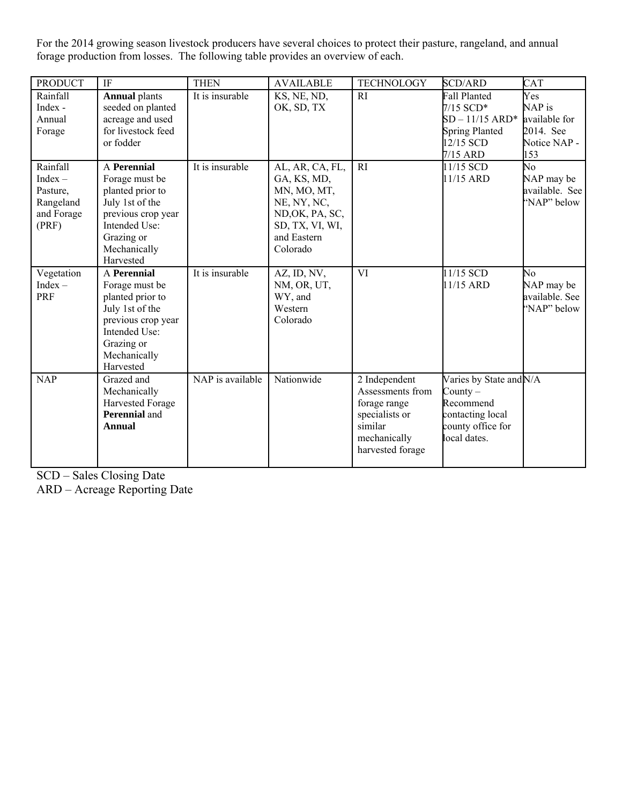For the 2014 growing season livestock producers have several choices to protect their pasture, rangeland, and annual forage production from losses. The following table provides an overview of each.

| <b>PRODUCT</b>                                                        | IF                                                                                                                                                            | <b>THEN</b>      | <b>AVAILABLE</b>                                                                                                              | <b>TECHNOLOGY</b>                                                                                                  | <b>SCD/ARD</b>                                                                                              | CAT                                                                |
|-----------------------------------------------------------------------|---------------------------------------------------------------------------------------------------------------------------------------------------------------|------------------|-------------------------------------------------------------------------------------------------------------------------------|--------------------------------------------------------------------------------------------------------------------|-------------------------------------------------------------------------------------------------------------|--------------------------------------------------------------------|
| Rainfall<br>Index -<br>Annual<br>Forage                               | <b>Annual plants</b><br>seeded on planted<br>acreage and used<br>for livestock feed<br>or fodder                                                              | It is insurable  | KS, NE, ND,<br>OK, SD, TX                                                                                                     | <sub>RI</sub>                                                                                                      | <b>Fall Planted</b><br>$7/15$ SCD*<br>$SD - 11/15$ ARD*<br><b>Spring Planted</b><br>12/15 SCD<br>7/15 ARD   | Yes<br>NAP is<br>available for<br>2014. See<br>Notice NAP -<br>153 |
| Rainfall<br>$Index -$<br>Pasture,<br>Rangeland<br>and Forage<br>(PRF) | A Perennial<br>Forage must be<br>planted prior to<br>July 1st of the<br>previous crop year<br>Intended Use:<br>Grazing or<br>Mechanically<br>Harvested        | It is insurable  | AL, AR, CA, FL,<br>GA, KS, MD,<br>MN, MO, MT,<br>NE, NY, NC,<br>ND, OK, PA, SC,<br>SD, TX, VI, WI,<br>and Eastern<br>Colorado | R1                                                                                                                 | 11/15 SCD<br>11/15 ARD                                                                                      | No<br>NAP may be<br>available. See<br>"NAP" below                  |
| Vegetation<br>$Index -$<br>PRF                                        | <b>A</b> Perennial<br>Forage must be<br>planted prior to<br>July 1st of the<br>previous crop year<br>Intended Use:<br>Grazing or<br>Mechanically<br>Harvested | It is insurable  | AZ, ID, NV,<br>NM, OR, UT,<br>WY, and<br>Western<br>Colorado                                                                  | VI                                                                                                                 | 11/15 SCD<br>11/15 ARD                                                                                      | No<br>NAP may be<br>available. See<br>"NAP" below                  |
| <b>NAP</b>                                                            | Grazed and<br>Mechanically<br>Harvested Forage<br><b>Perennial</b> and<br><b>Annual</b>                                                                       | NAP is available | Nationwide                                                                                                                    | 2 Independent<br>Assessments from<br>forage range<br>specialists or<br>similar<br>mechanically<br>harvested forage | Varies by State and N/A<br>County $-$<br>Recommend<br>contacting local<br>county office for<br>local dates. |                                                                    |

SCD – Sales Closing Date

ARD – Acreage Reporting Date